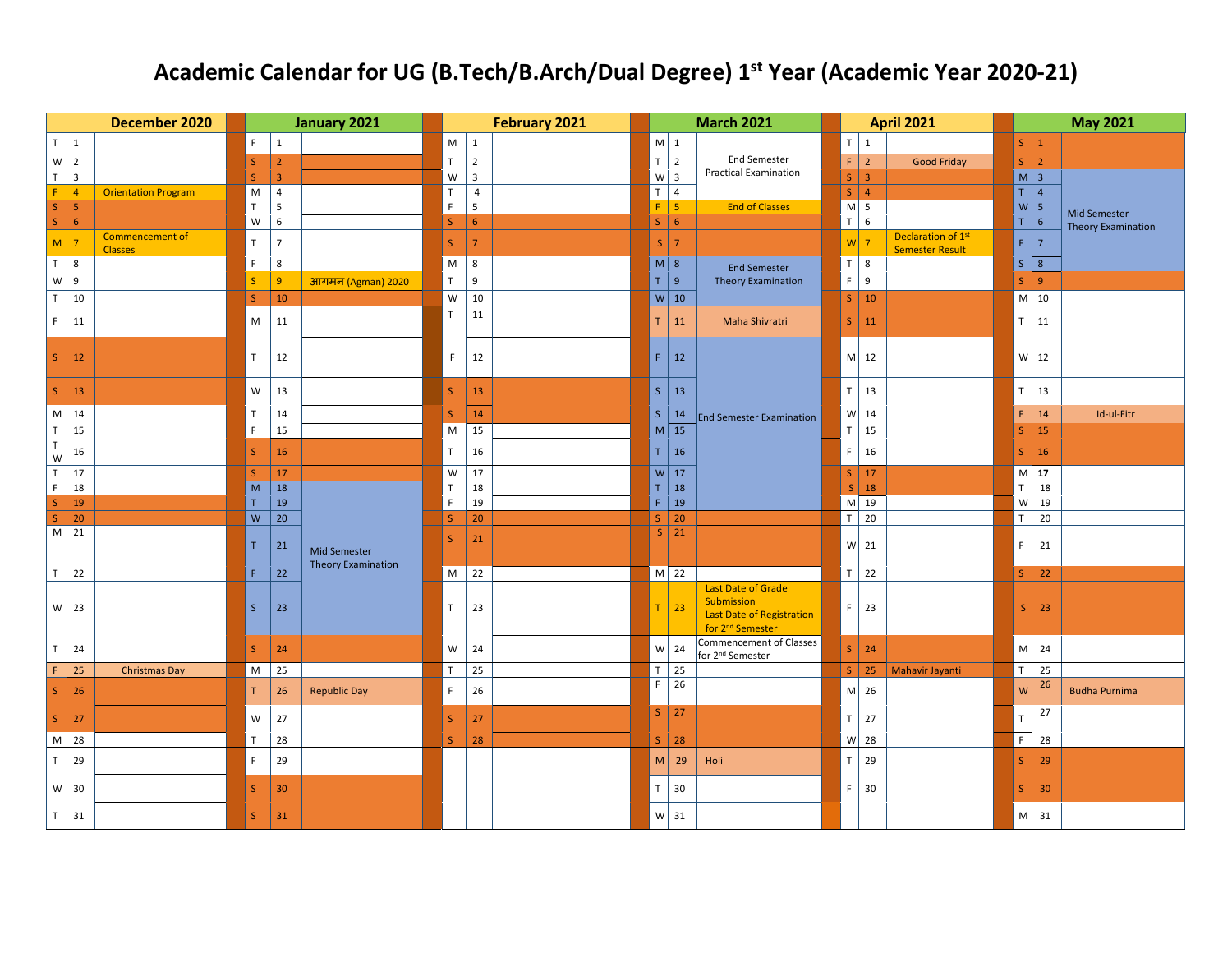## **Academic Calendar for UG (B.Tech/B.Arch/Dual Degree) 1st Year (Academic Year 2020-21)**

|                         | December 2020                                | January 2021 |                |                           | February 2021 |                         | <b>March 2021</b> |                    |                                                                                                             | <b>April 2021</b> |                                 |  | <b>May 2021</b>                                                                             |                           |
|-------------------------|----------------------------------------------|--------------|----------------|---------------------------|---------------|-------------------------|-------------------|--------------------|-------------------------------------------------------------------------------------------------------------|-------------------|---------------------------------|--|---------------------------------------------------------------------------------------------|---------------------------|
| $T \mid 1$              |                                              | F.           | $\mathbf{1}$   |                           | M             | $\mathbf{1}$            |                   | $M \mid 1$         |                                                                                                             | $\top$            | 1                               |  | $S \mid 1$                                                                                  |                           |
|                         | $W$ 2                                        | S            | $\overline{2}$ |                           | $\top$        | $\overline{2}$          |                   | $T$   2            | <b>End Semester</b>                                                                                         | $\mathsf F$       | $\vert$ 2<br><b>Good Friday</b> |  | $S$   2                                                                                     |                           |
| T                       | $\overline{3}$                               | $\mathsf S$  | $\overline{3}$ |                           | W             | $\overline{\mathbf{3}}$ |                   | $W\vert$ 3         | <b>Practical Examination</b>                                                                                | S                 | $\vert$ 3                       |  | $M \mid 3$                                                                                  |                           |
| F.                      | $\overline{4}$<br><b>Orientation Program</b> | M            | $\overline{4}$ |                           | $\mathsf{T}$  | $\overline{4}$          |                   | $T$ 4              |                                                                                                             |                   | $S \mid 4$                      |  | $T$ 4                                                                                       |                           |
| $\mathsf S$             | $\overline{\mathbf{5}}$                      | $\mathsf{T}$ | 5              |                           | $\mathsf F$   | 5                       | $F \mid 5$        |                    | <b>End of Classes</b>                                                                                       |                   | $M \mid 5$                      |  | $W\overline{5}$                                                                             | <b>Mid Semester</b>       |
| S                       | $\boldsymbol{6}$<br><b>Commencement of</b>   | W            | $\,6\,$        |                           | $\mathsf{S}$  | $\sqrt{6}$              | $S \big  6$       |                    |                                                                                                             |                   | $T$ 6<br>Declaration of 1st     |  | $\sqrt{6}$<br>T                                                                             | <b>Theory Examination</b> |
|                         | $M$ 7<br><b>Classes</b>                      | $\top$       | $\overline{7}$ |                           | S             | $\overline{7}$          |                   | $S \mid 7$         |                                                                                                             | W <sub>2</sub>    | <b>Semester Result</b>          |  | F<br>$\overline{7}$                                                                         |                           |
| T 8                     |                                              | F            | 8              |                           | M             | 8                       |                   | $M \vert 8$        | <b>End Semester</b>                                                                                         |                   | $T \mid 8$                      |  | $S \mid 8$                                                                                  |                           |
| ${\mathsf W}$           | 9                                            | S            | $\overline{9}$ | <b>आगमन (Agman) 2020</b>  | $\mathsf{T}$  | 9                       | T 9               |                    | <b>Theory Examination</b>                                                                                   |                   | $F \mid 9$                      |  | $S \mid 9$                                                                                  |                           |
| T                       | 10                                           | S            | 10             |                           | W             | 10                      |                   | $W$ 10             |                                                                                                             |                   | $S \mid 10$                     |  | $M$ 10                                                                                      |                           |
| F.                      | 11                                           | M            | 11             |                           | $\mathsf T$   | 11                      | T.                | 11                 | Maha Shivratri                                                                                              | S                 | $\vert$ 11                      |  | $T$ 11                                                                                      |                           |
| S                       | 12                                           | $\top$       | 12             |                           | F.            | 12                      | $\mathsf F$       | 12                 |                                                                                                             |                   | $M$ 12                          |  | $W$ 12                                                                                      |                           |
| S                       | 13                                           | W            | 13             |                           | S             | 13                      |                   | $S \mid 13$        |                                                                                                             | T                 | 13                              |  | T<br>13                                                                                     |                           |
| M                       | 14                                           | T            | 14             |                           | <sub>S</sub>  | 14                      |                   | $S \mid 14$        | <b>End Semester Examination</b>                                                                             |                   | $W$ 14                          |  | 14<br>F.                                                                                    | Id-ul-Fitr                |
| $\top$                  | 15                                           | $\mathsf F$  | 15             |                           | M             | 15                      |                   | $M \vert 15$       |                                                                                                             | $\mathsf T$       | 15                              |  | 15<br><sub>S</sub>                                                                          |                           |
| $\top$<br>${\mathsf W}$ | 16                                           | $\mathsf{S}$ | 16             |                           | T.            | $16\,$                  | T                 | 16                 |                                                                                                             | $\mathsf F$       | 16                              |  | S<br>16                                                                                     |                           |
| $\top$                  | 17                                           | S            | $\vert$ 17     |                           | W             | 17                      |                   | $W$ 17             |                                                                                                             |                   | $S$   17                        |  | $M$ 17                                                                                      |                           |
| E                       | 18                                           | M            | $\vert$ 18     |                           | $\top$        | 18                      |                   | $T \mid 18$        |                                                                                                             |                   | $S$ 18                          |  | T<br>18                                                                                     |                           |
| $\mathsf{S}$            | 19<br>20                                     | T.<br>W      | 19<br>20       |                           | F             | 19                      |                   | $F$ 19             |                                                                                                             | $\overline{T}$    | $M$ 19<br>$\frac{1}{20}$        |  | $\mathsf{W}$<br>19<br>T<br>20                                                               |                           |
| $\mathsf{S}$            | $M$ 21                                       |              |                |                           | $\mathsf S$   | 20                      |                   | $S$   20<br>$S$ 21 |                                                                                                             |                   |                                 |  |                                                                                             |                           |
|                         |                                              | T.           | 21             | Mid Semester              | S             | 21                      |                   |                    |                                                                                                             |                   | $W$ 21                          |  | 21<br>F.                                                                                    |                           |
| T                       | 22                                           | F.           | 22             | <b>Theory Examination</b> | M             | 22                      |                   | $M$ 22             |                                                                                                             |                   | $T$ 22                          |  | S<br>22                                                                                     |                           |
|                         | $W$ 23                                       | S            | 23             |                           | T.            | 23                      | T.                | 23                 | <b>Last Date of Grade</b><br>Submission<br><b>Last Date of Registration</b><br>for 2 <sup>nd</sup> Semester | $\mathsf F$       | 23                              |  | S<br>23                                                                                     |                           |
| $\mathsf T$             | 24                                           | $\mathsf S$  | 24             |                           | W             | 24                      |                   | $W$ 24             | Commencement of Classes<br>for 2 <sup>nd</sup> Semester                                                     |                   | $S$ 24                          |  | M<br>24                                                                                     |                           |
| F.                      | 25<br><b>Christmas Day</b>                   | M            | 25             |                           | $\mathsf T$   | 25                      |                   | $T$ 25             |                                                                                                             |                   | S 25 Mahavir Jayanti            |  | T<br>25                                                                                     |                           |
| S                       | 26                                           | T.           | 26             | <b>Republic Day</b>       | F.            | 26                      | F                 | 26                 |                                                                                                             |                   | M 26                            |  | 26<br>$\mathsf{W}% _{T}=\mathsf{W}_{T}\!\left( a,b\right) ,\ \mathsf{W}_{T}=\mathsf{W}_{T}$ | <b>Budha Purnima</b>      |
| S                       | 27                                           | W            | 27             |                           | S             | 27                      |                   | $S$ 27             |                                                                                                             | $\mathsf T$       | 27                              |  | 27<br>$\mathsf T$                                                                           |                           |
|                         | M 28                                         | $\top$       | 28             |                           | S             | 28                      |                   | $S$ 28             |                                                                                                             |                   | $W$ 28                          |  | F.<br>28                                                                                    |                           |
| $\mathsf T$             | 29                                           | F            | 29             |                           |               |                         | M                 | 29                 | Holi                                                                                                        | $\top$            | 29                              |  | 29<br><sub>S</sub>                                                                          |                           |
|                         | $W$ 30                                       | $\mathsf{S}$ | 30             |                           |               |                         | $\top$            | 30                 |                                                                                                             | F                 | 30                              |  | 30<br>S.                                                                                    |                           |
| T                       | 31                                           | S            | 31             |                           |               |                         |                   | $W$ 31             |                                                                                                             |                   |                                 |  | M<br>31                                                                                     |                           |